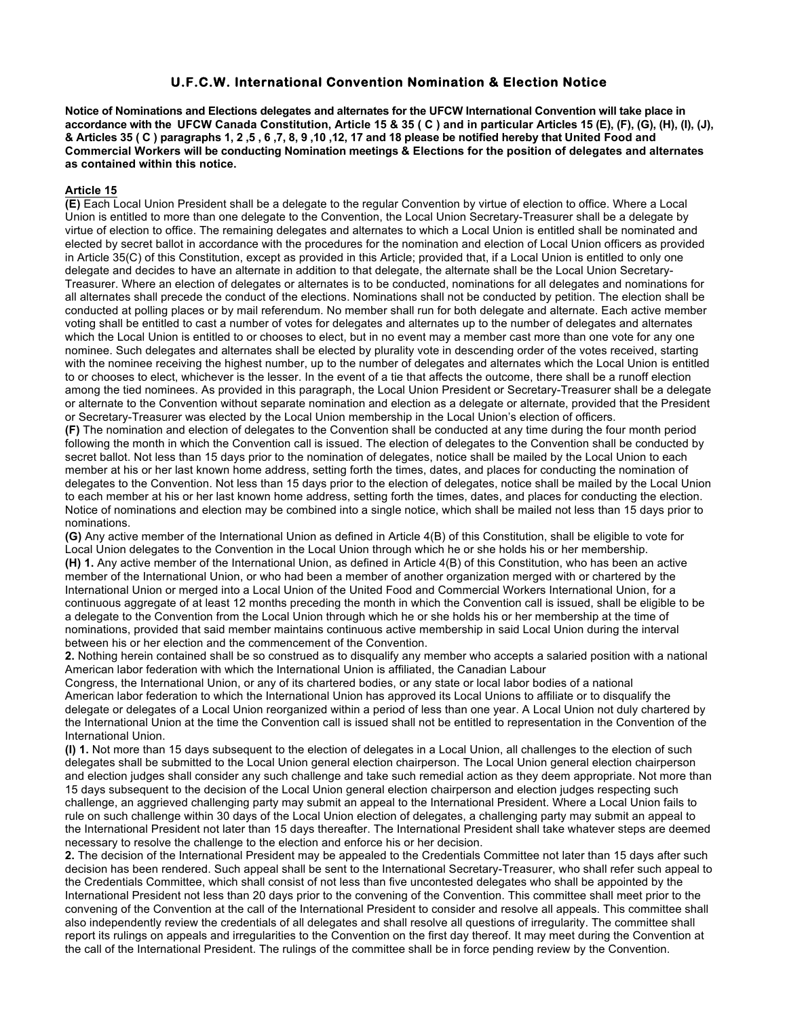### **U.F.C.W. International Convention Nomination & Election Notice**

**Notice of Nominations and Elections delegates and alternates for the UFCW International Convention will take place in accordance with the UFCW Canada Constitution, Article 15 & 35 ( C ) and in particular Articles 15 (E), (F), (G), (H), (I), (J), & Articles 35 ( C ) paragraphs 1, 2 ,5 , 6 ,7, 8, 9 ,10 ,12, 17 and 18 please be notified hereby that United Food and Commercial Workers will be conducting Nomination meetings & Elections for the position of delegates and alternates as contained within this notice.**

### **Article 15**

**(E)** Each Local Union President shall be a delegate to the regular Convention by virtue of election to office. Where a Local Union is entitled to more than one delegate to the Convention, the Local Union Secretary-Treasurer shall be a delegate by virtue of election to office. The remaining delegates and alternates to which a Local Union is entitled shall be nominated and elected by secret ballot in accordance with the procedures for the nomination and election of Local Union officers as provided in Article 35(C) of this Constitution, except as provided in this Article; provided that, if a Local Union is entitled to only one delegate and decides to have an alternate in addition to that delegate, the alternate shall be the Local Union Secretary-Treasurer. Where an election of delegates or alternates is to be conducted, nominations for all delegates and nominations for all alternates shall precede the conduct of the elections. Nominations shall not be conducted by petition. The election shall be conducted at polling places or by mail referendum. No member shall run for both delegate and alternate. Each active member voting shall be entitled to cast a number of votes for delegates and alternates up to the number of delegates and alternates which the Local Union is entitled to or chooses to elect, but in no event may a member cast more than one vote for any one nominee. Such delegates and alternates shall be elected by plurality vote in descending order of the votes received, starting with the nominee receiving the highest number, up to the number of delegates and alternates which the Local Union is entitled to or chooses to elect, whichever is the lesser. In the event of a tie that affects the outcome, there shall be a runoff election among the tied nominees. As provided in this paragraph, the Local Union President or Secretary-Treasurer shall be a delegate or alternate to the Convention without separate nomination and election as a delegate or alternate, provided that the President or Secretary-Treasurer was elected by the Local Union membership in the Local Union's election of officers.

**(F)** The nomination and election of delegates to the Convention shall be conducted at any time during the four month period following the month in which the Convention call is issued. The election of delegates to the Convention shall be conducted by secret ballot. Not less than 15 days prior to the nomination of delegates, notice shall be mailed by the Local Union to each member at his or her last known home address, setting forth the times, dates, and places for conducting the nomination of delegates to the Convention. Not less than 15 days prior to the election of delegates, notice shall be mailed by the Local Union to each member at his or her last known home address, setting forth the times, dates, and places for conducting the election. Notice of nominations and election may be combined into a single notice, which shall be mailed not less than 15 days prior to nominations.

**(G)** Any active member of the International Union as defined in Article 4(B) of this Constitution, shall be eligible to vote for Local Union delegates to the Convention in the Local Union through which he or she holds his or her membership. **(H) 1.** Any active member of the International Union, as defined in Article 4(B) of this Constitution, who has been an active member of the International Union, or who had been a member of another organization merged with or chartered by the International Union or merged into a Local Union of the United Food and Commercial Workers International Union, for a continuous aggregate of at least 12 months preceding the month in which the Convention call is issued, shall be eligible to be a delegate to the Convention from the Local Union through which he or she holds his or her membership at the time of nominations, provided that said member maintains continuous active membership in said Local Union during the interval between his or her election and the commencement of the Convention.

**2.** Nothing herein contained shall be so construed as to disqualify any member who accepts a salaried position with a national American labor federation with which the International Union is affiliated, the Canadian Labour

Congress, the International Union, or any of its chartered bodies, or any state or local labor bodies of a national American labor federation to which the International Union has approved its Local Unions to affiliate or to disqualify the delegate or delegates of a Local Union reorganized within a period of less than one year. A Local Union not duly chartered by the International Union at the time the Convention call is issued shall not be entitled to representation in the Convention of the International Union.

**(I) 1.** Not more than 15 days subsequent to the election of delegates in a Local Union, all challenges to the election of such delegates shall be submitted to the Local Union general election chairperson. The Local Union general election chairperson and election judges shall consider any such challenge and take such remedial action as they deem appropriate. Not more than 15 days subsequent to the decision of the Local Union general election chairperson and election judges respecting such challenge, an aggrieved challenging party may submit an appeal to the International President. Where a Local Union fails to rule on such challenge within 30 days of the Local Union election of delegates, a challenging party may submit an appeal to the International President not later than 15 days thereafter. The International President shall take whatever steps are deemed necessary to resolve the challenge to the election and enforce his or her decision.

**2.** The decision of the International President may be appealed to the Credentials Committee not later than 15 days after such decision has been rendered. Such appeal shall be sent to the International Secretary-Treasurer, who shall refer such appeal to the Credentials Committee, which shall consist of not less than five uncontested delegates who shall be appointed by the International President not less than 20 days prior to the convening of the Convention. This committee shall meet prior to the convening of the Convention at the call of the International President to consider and resolve all appeals. This committee shall also independently review the credentials of all delegates and shall resolve all questions of irregularity. The committee shall report its rulings on appeals and irregularities to the Convention on the first day thereof. It may meet during the Convention at the call of the International President. The rulings of the committee shall be in force pending review by the Convention.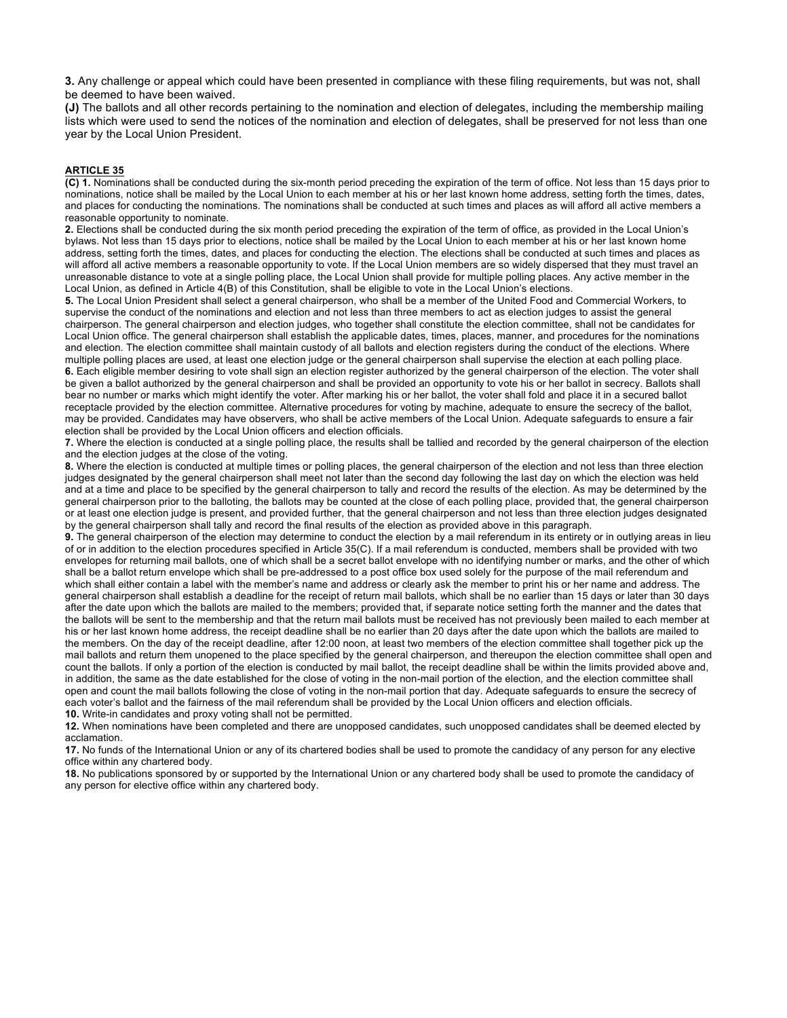**3.** Any challenge or appeal which could have been presented in compliance with these filing requirements, but was not, shall be deemed to have been waived.

**(J)** The ballots and all other records pertaining to the nomination and election of delegates, including the membership mailing lists which were used to send the notices of the nomination and election of delegates, shall be preserved for not less than one year by the Local Union President.

#### **ARTICLE 35**

**(C) 1.** Nominations shall be conducted during the six-month period preceding the expiration of the term of office. Not less than 15 days prior to nominations, notice shall be mailed by the Local Union to each member at his or her last known home address, setting forth the times, dates, and places for conducting the nominations. The nominations shall be conducted at such times and places as will afford all active members a reasonable opportunity to nominate.

**2.** Elections shall be conducted during the six month period preceding the expiration of the term of office, as provided in the Local Union's bylaws. Not less than 15 days prior to elections, notice shall be mailed by the Local Union to each member at his or her last known home address, setting forth the times, dates, and places for conducting the election. The elections shall be conducted at such times and places as will afford all active members a reasonable opportunity to vote. If the Local Union members are so widely dispersed that they must travel an unreasonable distance to vote at a single polling place, the Local Union shall provide for multiple polling places. Any active member in the Local Union, as defined in Article 4(B) of this Constitution, shall be eligible to vote in the Local Union's elections.

**5.** The Local Union President shall select a general chairperson, who shall be a member of the United Food and Commercial Workers, to supervise the conduct of the nominations and election and not less than three members to act as election judges to assist the general chairperson. The general chairperson and election judges, who together shall constitute the election committee, shall not be candidates for Local Union office. The general chairperson shall establish the applicable dates, times, places, manner, and procedures for the nominations and election. The election committee shall maintain custody of all ballots and election registers during the conduct of the elections. Where multiple polling places are used, at least one election judge or the general chairperson shall supervise the election at each polling place. **6.** Each eligible member desiring to vote shall sign an election register authorized by the general chairperson of the election. The voter shall be given a ballot authorized by the general chairperson and shall be provided an opportunity to vote his or her ballot in secrecy. Ballots shall bear no number or marks which might identify the voter. After marking his or her ballot, the voter shall fold and place it in a secured ballot receptacle provided by the election committee. Alternative procedures for voting by machine, adequate to ensure the secrecy of the ballot, may be provided. Candidates may have observers, who shall be active members of the Local Union. Adequate safeguards to ensure a fair election shall be provided by the Local Union officers and election officials.

**7.** Where the election is conducted at a single polling place, the results shall be tallied and recorded by the general chairperson of the election and the election judges at the close of the voting.

**8.** Where the election is conducted at multiple times or polling places, the general chairperson of the election and not less than three election judges designated by the general chairperson shall meet not later than the second day following the last day on which the election was held and at a time and place to be specified by the general chairperson to tally and record the results of the election. As may be determined by the general chairperson prior to the balloting, the ballots may be counted at the close of each polling place, provided that, the general chairperson or at least one election judge is present, and provided further, that the general chairperson and not less than three election judges designated by the general chairperson shall tally and record the final results of the election as provided above in this paragraph.

**9.** The general chairperson of the election may determine to conduct the election by a mail referendum in its entirety or in outlying areas in lieu of or in addition to the election procedures specified in Article 35(C). If a mail referendum is conducted, members shall be provided with two envelopes for returning mail ballots, one of which shall be a secret ballot envelope with no identifying number or marks, and the other of which shall be a ballot return envelope which shall be pre-addressed to a post office box used solely for the purpose of the mail referendum and which shall either contain a label with the member's name and address or clearly ask the member to print his or her name and address. The general chairperson shall establish a deadline for the receipt of return mail ballots, which shall be no earlier than 15 days or later than 30 days after the date upon which the ballots are mailed to the members; provided that, if separate notice setting forth the manner and the dates that the ballots will be sent to the membership and that the return mail ballots must be received has not previously been mailed to each member at his or her last known home address, the receipt deadline shall be no earlier than 20 days after the date upon which the ballots are mailed to the members. On the day of the receipt deadline, after 12:00 noon, at least two members of the election committee shall together pick up the mail ballots and return them unopened to the place specified by the general chairperson, and thereupon the election committee shall open and count the ballots. If only a portion of the election is conducted by mail ballot, the receipt deadline shall be within the limits provided above and, in addition, the same as the date established for the close of voting in the non-mail portion of the election, and the election committee shall open and count the mail ballots following the close of voting in the non-mail portion that day. Adequate safeguards to ensure the secrecy of each voter's ballot and the fairness of the mail referendum shall be provided by the Local Union officers and election officials. **10.** Write-in candidates and proxy voting shall not be permitted.

**12.** When nominations have been completed and there are unopposed candidates, such unopposed candidates shall be deemed elected by acclamation.

**17.** No funds of the International Union or any of its chartered bodies shall be used to promote the candidacy of any person for any elective office within any chartered body.

**18.** No publications sponsored by or supported by the International Union or any chartered body shall be used to promote the candidacy of any person for elective office within any chartered body.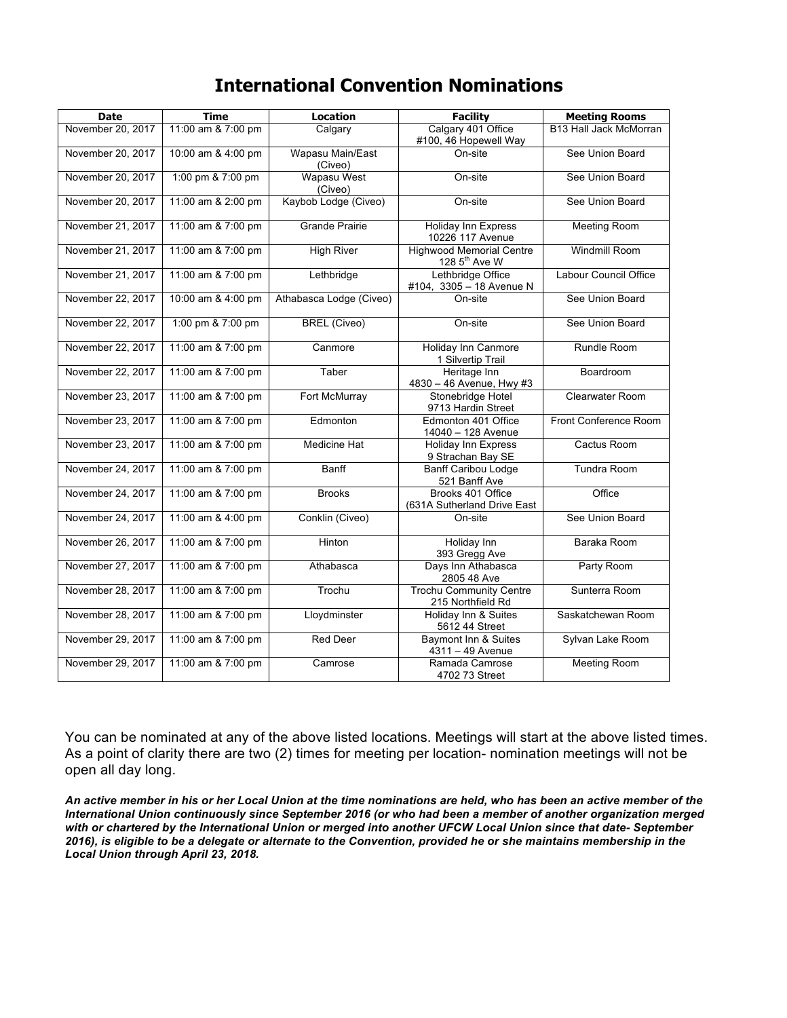# **International Convention Nominations**

| <b>Date</b>       | <b>Time</b>        | <b>Location</b>             | <b>Facility</b>                                              | <b>Meeting Rooms</b>   |
|-------------------|--------------------|-----------------------------|--------------------------------------------------------------|------------------------|
| November 20, 2017 | 11:00 am & 7:00 pm | Calgary                     | Calgary 401 Office<br>#100, 46 Hopewell Way                  | B13 Hall Jack McMorran |
| November 20, 2017 | 10:00 am & 4:00 pm | Wapasu Main/East<br>(Civeo) | On-site                                                      | See Union Board        |
| November 20, 2017 | 1:00 pm & 7:00 pm  | Wapasu West<br>(Civeo)      | On-site                                                      | See Union Board        |
| November 20, 2017 | 11:00 am & 2:00 pm | Kaybob Lodge (Civeo)        | On-site                                                      | See Union Board        |
| November 21, 2017 | 11:00 am & 7:00 pm | <b>Grande Prairie</b>       | Holiday Inn Express<br>10226 117 Avenue                      | <b>Meeting Room</b>    |
| November 21, 2017 | 11:00 am & 7:00 pm | <b>High River</b>           | <b>Highwood Memorial Centre</b><br>128 5 <sup>th</sup> Ave W | <b>Windmill Room</b>   |
| November 21, 2017 | 11:00 am & 7:00 pm | Lethbridge                  | Lethbridge Office<br>#104, 3305 - 18 Avenue N                | Labour Council Office  |
| November 22, 2017 | 10:00 am & 4:00 pm | Athabasca Lodge (Civeo)     | On-site                                                      | See Union Board        |
| November 22, 2017 | 1:00 pm & 7:00 pm  | <b>BREL</b> (Civeo)         | On-site                                                      | See Union Board        |
| November 22, 2017 | 11:00 am & 7:00 pm | Canmore                     | Holiday Inn Canmore<br>1 Silvertip Trail                     | Rundle Room            |
| November 22, 2017 | 11:00 am & 7:00 pm | Taber                       | Heritage Inn<br>4830 - 46 Avenue, Hwy #3                     | Boardroom              |
| November 23, 2017 | 11:00 am & 7:00 pm | Fort McMurray               | Stonebridge Hotel<br>9713 Hardin Street                      | Clearwater Room        |
| November 23, 2017 | 11:00 am & 7:00 pm | Edmonton                    | Edmonton 401 Office<br>14040 - 128 Avenue                    | Front Conference Room  |
| November 23, 2017 | 11:00 am & 7:00 pm | <b>Medicine Hat</b>         | <b>Holiday Inn Express</b><br>9 Strachan Bay SE              | Cactus Room            |
| November 24, 2017 | 11:00 am & 7:00 pm | Banff                       | <b>Banff Caribou Lodge</b><br>521 Banff Ave                  | <b>Tundra Room</b>     |
| November 24, 2017 | 11:00 am & 7:00 pm | <b>Brooks</b>               | Brooks 401 Office<br>(631A Sutherland Drive East             | Office                 |
| November 24, 2017 | 11:00 am & 4:00 pm | Conklin (Civeo)             | On-site                                                      | See Union Board        |
| November 26, 2017 | 11:00 am & 7:00 pm | Hinton                      | Holiday Inn<br>393 Gregg Ave                                 | Baraka Room            |
| November 27, 2017 | 11:00 am & 7:00 pm | Athabasca                   | Days Inn Athabasca<br>2805 48 Ave                            | Party Room             |
| November 28, 2017 | 11:00 am & 7:00 pm | Trochu                      | <b>Trochu Community Centre</b><br>215 Northfield Rd          | Sunterra Room          |
| November 28, 2017 | 11:00 am & 7:00 pm | Lloydminster                | Holiday Inn & Suites<br>5612 44 Street                       | Saskatchewan Room      |
| November 29, 2017 | 11:00 am & 7:00 pm | Red Deer                    | Baymont Inn & Suites<br>$4311 - 49$ Avenue                   | Sylvan Lake Room       |
| November 29, 2017 | 11:00 am & 7:00 pm | Camrose                     | Ramada Camrose<br>4702 73 Street                             | <b>Meeting Room</b>    |

You can be nominated at any of the above listed locations. Meetings will start at the above listed times. As a point of clarity there are two (2) times for meeting per location- nomination meetings will not be open all day long.

*An active member in his or her Local Union at the time nominations are held, who has been an active member of the International Union continuously since September 2016 (or who had been a member of another organization merged with or chartered by the International Union or merged into another UFCW Local Union since that date- September 2016), is eligible to be a delegate or alternate to the Convention, provided he or she maintains membership in the Local Union through April 23, 2018.*